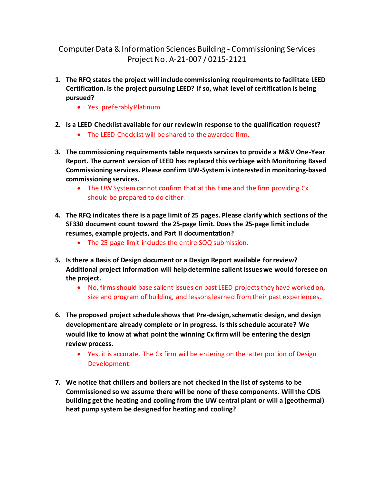Computer Data & Information Sciences Building - Commissioning Services Project No. A-21-007 / 0215-2121

- **1. The RFQ states the project will include commissioning requirements to facilitate LEED Certification. Is the project pursuing LEED? If so, what level of certification is being pursued?** 
	- Yes, preferably Platinum.
- **2. Is a LEED Checklist available for our reviewin response to the qualification request?** 
	- The LEED Checklist will be shared to the awarded firm.
- **3. The commissioning requirements table requests services to provide a M&V One-Year Report. The current version of LEED has replaced this verbiage with Monitoring Based Commissioning services. Please confirm UW-System is interested in monitoring-based commissioning services.** 
	- The UW System cannot confirm that at this time and the firm providing Cx should be prepared to do either.
- **4. The RFQ indicates there is a page limit of 25 pages. Please clarify which sections of the SF330 document count toward the 25-page limit. Does the 25-page limit include resumes, example projects, and Part II documentation?** 
	- The 25-page limit includes the entire SOQ submission.
- **5. Is there a Basis of Design document or a Design Report available for review? Additional project information will help determine salient issues we would foresee on the project.** 
	- No, firms should base salient issues on past LEED projects they have worked on, size and program of building, and lessons learned from their past experiences.
- **6. The proposed project schedule shows that Pre-design, schematic design, and design development are already complete or in progress. Is this schedule accurate? We would like to know at what point the winning Cx firm will be entering the design review process.**
	- Yes, it is accurate. The Cx firm will be entering on the latter portion of Design Development.
- **7. We notice that chillers and boilers are not checked in the list of systems to be Commissioned so we assume there will be none of these components. Will the CDIS building get the heating and cooling from the UW central plant or will a (geothermal) heat pump system be designed for heating and cooling?**